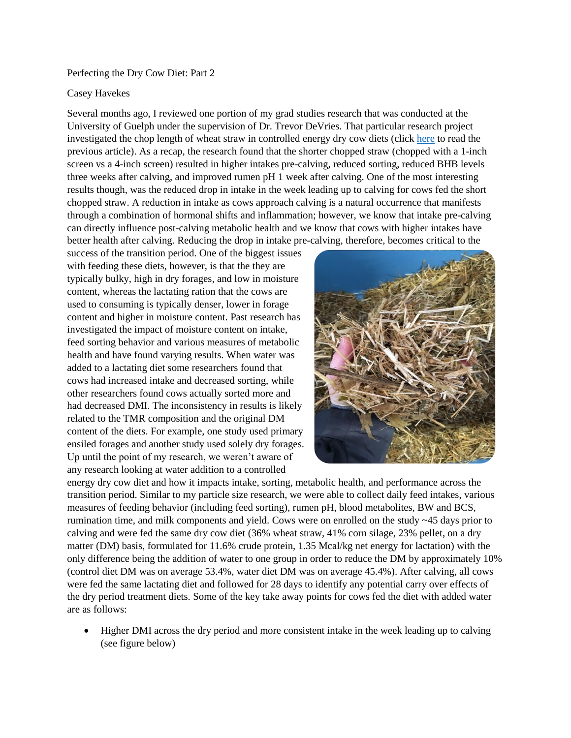## Perfecting the Dry Cow Diet: Part 2

## Casey Havekes

Several months ago, I reviewed one portion of my grad studies research that was conducted at the University of Guelph under the supervision of Dr. Trevor DeVries. That particular research project investigated the chop length of wheat straw in controlled energy dry cow diets (click [here](https://blogs.cornell.edu/northcountryregionalagteam/2020/02/01/perfecting-the-dry-cow-diet-part-1/) to read the previous article). As a recap, the research found that the shorter chopped straw (chopped with a 1-inch screen vs a 4-inch screen) resulted in higher intakes pre-calving, reduced sorting, reduced BHB levels three weeks after calving, and improved rumen pH 1 week after calving. One of the most interesting results though, was the reduced drop in intake in the week leading up to calving for cows fed the short chopped straw. A reduction in intake as cows approach calving is a natural occurrence that manifests through a combination of hormonal shifts and inflammation; however, we know that intake pre-calving can directly influence post-calving metabolic health and we know that cows with higher intakes have better health after calving. Reducing the drop in intake pre-calving, therefore, becomes critical to the

success of the transition period. One of the biggest issues with feeding these diets, however, is that the they are typically bulky, high in dry forages, and low in moisture content, whereas the lactating ration that the cows are used to consuming is typically denser, lower in forage content and higher in moisture content. Past research has investigated the impact of moisture content on intake, feed sorting behavior and various measures of metabolic health and have found varying results. When water was added to a lactating diet some researchers found that cows had increased intake and decreased sorting, while other researchers found cows actually sorted more and had decreased DMI. The inconsistency in results is likely related to the TMR composition and the original DM content of the diets. For example, one study used primary ensiled forages and another study used solely dry forages. Up until the point of my research, we weren't aware of any research looking at water addition to a controlled



energy dry cow diet and how it impacts intake, sorting, metabolic health, and performance across the transition period. Similar to my particle size research, we were able to collect daily feed intakes, various measures of feeding behavior (including feed sorting), rumen pH, blood metabolites, BW and BCS, rumination time, and milk components and yield. Cows were on enrolled on the study  $\sim$ 45 days prior to calving and were fed the same dry cow diet (36% wheat straw, 41% corn silage, 23% pellet, on a dry matter (DM) basis, formulated for 11.6% crude protein, 1.35 Mcal/kg net energy for lactation) with the only difference being the addition of water to one group in order to reduce the DM by approximately 10% (control diet DM was on average 53.4%, water diet DM was on average 45.4%). After calving, all cows were fed the same lactating diet and followed for 28 days to identify any potential carry over effects of the dry period treatment diets. Some of the key take away points for cows fed the diet with added water are as follows:

 Higher DMI across the dry period and more consistent intake in the week leading up to calving (see figure below)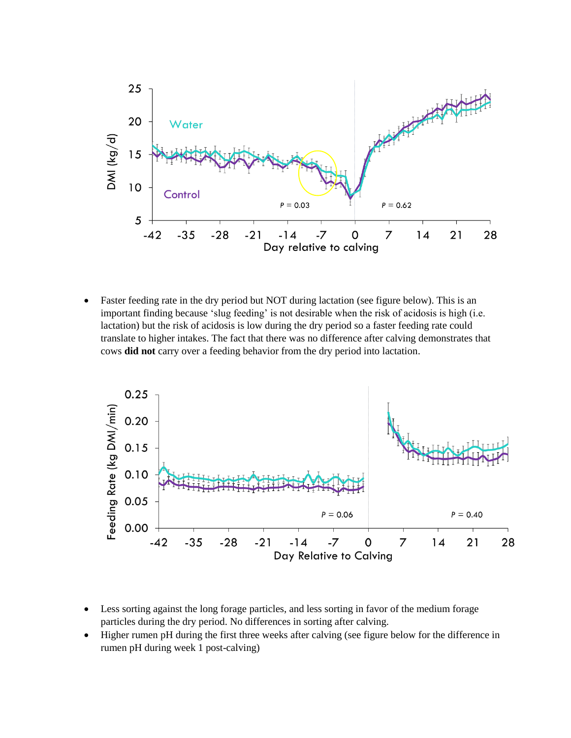

 Faster feeding rate in the dry period but NOT during lactation (see figure below). This is an important finding because 'slug feeding' is not desirable when the risk of acidosis is high (i.e. lactation) but the risk of acidosis is low during the dry period so a faster feeding rate could translate to higher intakes. The fact that there was no difference after calving demonstrates that cows **did not** carry over a feeding behavior from the dry period into lactation.



- Less sorting against the long forage particles, and less sorting in favor of the medium forage particles during the dry period. No differences in sorting after calving.
- Higher rumen pH during the first three weeks after calving (see figure below for the difference in rumen pH during week 1 post-calving)